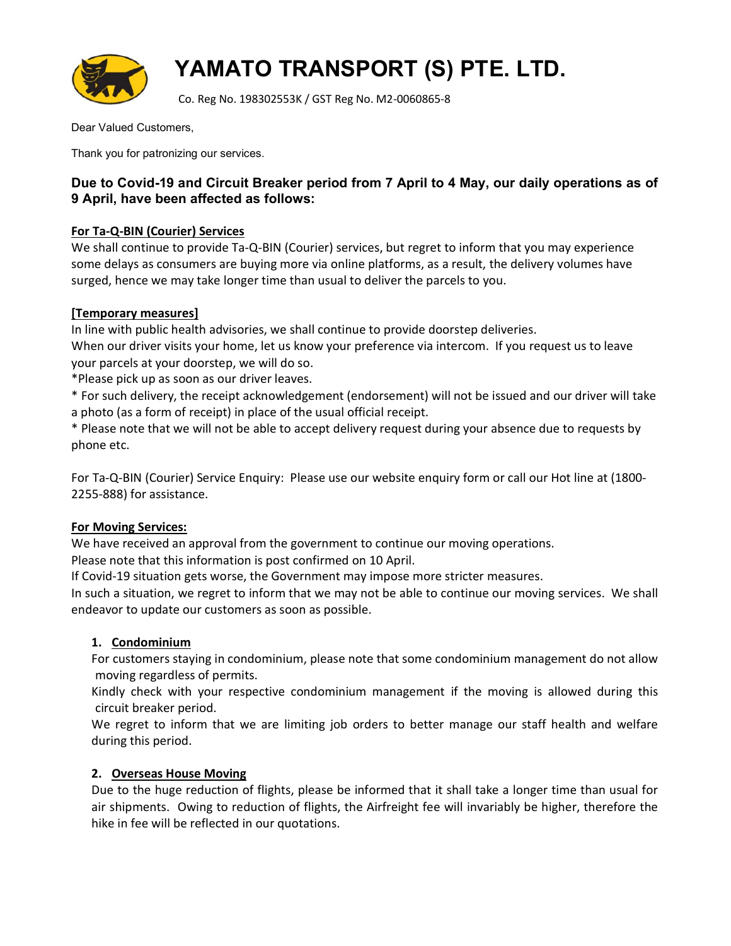

# YAMATO TRANSPORT (S) PTE. LTD.

Co. Reg No. 198302553K / GST Reg No. M2-0060865-8

Dear Valued Customers,

Thank you for patronizing our services.

## Due to Covid-19 and Circuit Breaker period from 7 April to 4 May, our daily operations as of 9 April, have been affected as follows:

## For Ta-Q-BIN (Courier) Services

We shall continue to provide Ta-Q-BIN (Courier) services, but regret to inform that you may experience some delays as consumers are buying more via online platforms, as a result, the delivery volumes have surged, hence we may take longer time than usual to deliver the parcels to you.

### [Temporary measures]

In line with public health advisories, we shall continue to provide doorstep deliveries.

When our driver visits your home, let us know your preference via intercom. If you request us to leave your parcels at your doorstep, we will do so.

\*Please pick up as soon as our driver leaves.

\* For such delivery, the receipt acknowledgement (endorsement) will not be issued and our driver will take a photo (as a form of receipt) in place of the usual official receipt.

\* Please note that we will not be able to accept delivery request during your absence due to requests by phone etc.

For Ta-Q-BIN (Courier) Service Enquiry: Please use our website enquiry form or call our Hot line at (1800- 2255-888) for assistance.

#### For Moving Services:

We have received an approval from the government to continue our moving operations.

Please note that this information is post confirmed on 10 April.

If Covid-19 situation gets worse, the Government may impose more stricter measures.

In such a situation, we regret to inform that we may not be able to continue our moving services. We shall endeavor to update our customers as soon as possible.

#### 1. Condominium

For customers staying in condominium, please note that some condominium management do not allow moving regardless of permits.

Kindly check with your respective condominium management if the moving is allowed during this circuit breaker period.

We regret to inform that we are limiting job orders to better manage our staff health and welfare during this period.

## 2. Overseas House Moving

Due to the huge reduction of flights, please be informed that it shall take a longer time than usual for air shipments. Owing to reduction of flights, the Airfreight fee will invariably be higher, therefore the hike in fee will be reflected in our quotations.